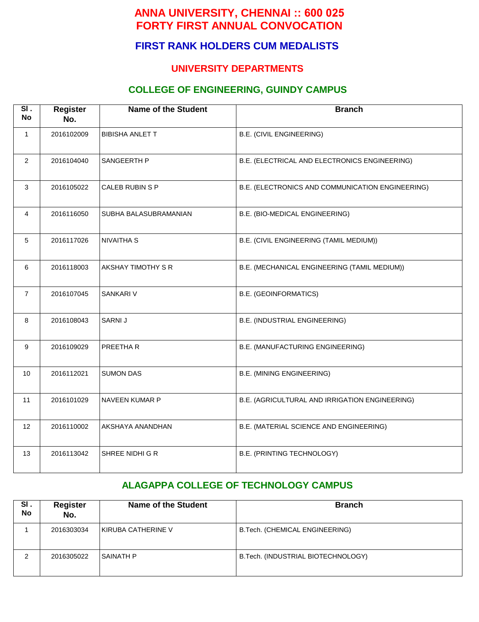# **FIRST RANK HOLDERS CUM MEDALISTS**

### **UNIVERSITY DEPARTMENTS**

## **COLLEGE OF ENGINEERING, GUINDY CAMPUS**

| $\overline{\mathsf{SI}}$ .<br><b>No</b> | <b>Register</b><br>No. | <b>Name of the Student</b> | <b>Branch</b>                                    |  |
|-----------------------------------------|------------------------|----------------------------|--------------------------------------------------|--|
| 1                                       | 2016102009             | <b>BIBISHA ANLET T</b>     | B.E. (CIVIL ENGINEERING)                         |  |
| $\overline{2}$                          | 2016104040             | SANGEERTH P                | B.E. (ELECTRICAL AND ELECTRONICS ENGINEERING)    |  |
| $\mathbf{3}$                            | 2016105022             | CALEB RUBIN S P            | B.E. (ELECTRONICS AND COMMUNICATION ENGINEERING) |  |
| 4                                       | 2016116050             | SUBHA BALASUBRAMANIAN      | B.E. (BIO-MEDICAL ENGINEERING)                   |  |
| 5                                       | 2016117026             | <b>NIVAITHA S</b>          | B.E. (CIVIL ENGINEERING (TAMIL MEDIUM))          |  |
| 6                                       | 2016118003             | AKSHAY TIMOTHY S R         | B.E. (MECHANICAL ENGINEERING (TAMIL MEDIUM))     |  |
| $\overline{7}$                          | 2016107045             | <b>SANKARI V</b>           | <b>B.E. (GEOINFORMATICS)</b>                     |  |
| 8                                       | 2016108043             | SARNI J                    | B.E. (INDUSTRIAL ENGINEERING)                    |  |
| 9                                       | 2016109029             | PREETHA R                  | B.E. (MANUFACTURING ENGINEERING)                 |  |
| 10                                      | 2016112021             | <b>SUMON DAS</b>           | <b>B.E. (MINING ENGINEERING)</b>                 |  |
| 11                                      | 2016101029             | NAVEEN KUMAR P             | B.E. (AGRICULTURAL AND IRRIGATION ENGINEERING)   |  |
| 12                                      | 2016110002             | AKSHAYA ANANDHAN           | B.E. (MATERIAL SCIENCE AND ENGINEERING)          |  |
| 13                                      | 2016113042             | SHREE NIDHI G R            | B.E. (PRINTING TECHNOLOGY)                       |  |

# **ALAGAPPA COLLEGE OF TECHNOLOGY CAMPUS**

| SI.<br><b>No</b> | <b>Register</b><br>No. | <b>Name of the Student</b> | <b>Branch</b>                      |
|------------------|------------------------|----------------------------|------------------------------------|
|                  | 2016303034             | KIRUBA CATHERINE V         | B.Tech. (CHEMICAL ENGINEERING)     |
| 2                | 2016305022             | SAINATH P                  | B.Tech. (INDUSTRIAL BIOTECHNOLOGY) |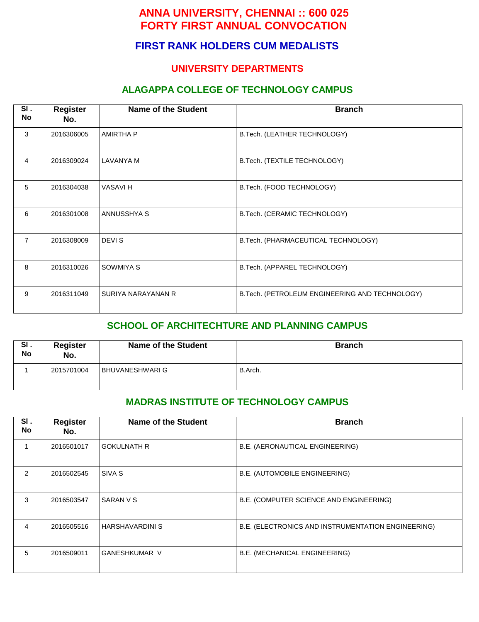# **FIRST RANK HOLDERS CUM MEDALISTS**

#### **UNIVERSITY DEPARTMENTS**

#### **ALAGAPPA COLLEGE OF TECHNOLOGY CAMPUS**

| SI.<br>No      | <b>Register</b><br>No. | <b>Name of the Student</b> | <b>Branch</b>                                  |  |
|----------------|------------------------|----------------------------|------------------------------------------------|--|
| 3              | 2016306005             | <b>AMIRTHA P</b>           | B.Tech. (LEATHER TECHNOLOGY)                   |  |
| 4              | 2016309024             | LAVANYA M                  | B.Tech. (TEXTILE TECHNOLOGY)                   |  |
| 5              | 2016304038             | <b>VASAVIH</b>             | B.Tech. (FOOD TECHNOLOGY)                      |  |
| 6              | 2016301008             | ANNUSSHYA S                | B.Tech. (CERAMIC TECHNOLOGY)                   |  |
| $\overline{7}$ | 2016308009             | DEVI S                     | B.Tech. (PHARMACEUTICAL TECHNOLOGY)            |  |
| 8              | 2016310026             | SOWMIYA S                  | B.Tech. (APPAREL TECHNOLOGY)                   |  |
| 9              | 2016311049             | SURIYA NARAYANAN R         | B.Tech. (PETROLEUM ENGINEERING AND TECHNOLOGY) |  |

#### **SCHOOL OF ARCHITECHTURE AND PLANNING CAMPUS**

| SI.<br>No | <b>Register</b><br>No. | <b>Name of the Student</b> | <b>Branch</b> |
|-----------|------------------------|----------------------------|---------------|
|           | 2015701004             | <b>BHUVANESHWARI G</b>     | B.Arch.       |

#### **MADRAS INSTITUTE OF TECHNOLOGY CAMPUS**

| SI.<br><b>No</b> | <b>Register</b><br>No. | <b>Name of the Student</b> | <b>Branch</b>                                      |  |
|------------------|------------------------|----------------------------|----------------------------------------------------|--|
|                  | 2016501017             | <b>GOKULNATH R</b>         | B.E. (AERONAUTICAL ENGINEERING)                    |  |
| 2                | 2016502545             | SIVA S                     | B.E. (AUTOMOBILE ENGINEERING)                      |  |
| 3                | 2016503547             | SARAN V S                  | B.E. (COMPUTER SCIENCE AND ENGINEERING)            |  |
| 4                | 2016505516             | <b>HARSHAVARDINI S</b>     | B.E. (ELECTRONICS AND INSTRUMENTATION ENGINEERING) |  |
| 5                | 2016509011             | <b>GANESHKUMAR V</b>       | B.E. (MECHANICAL ENGINEERING)                      |  |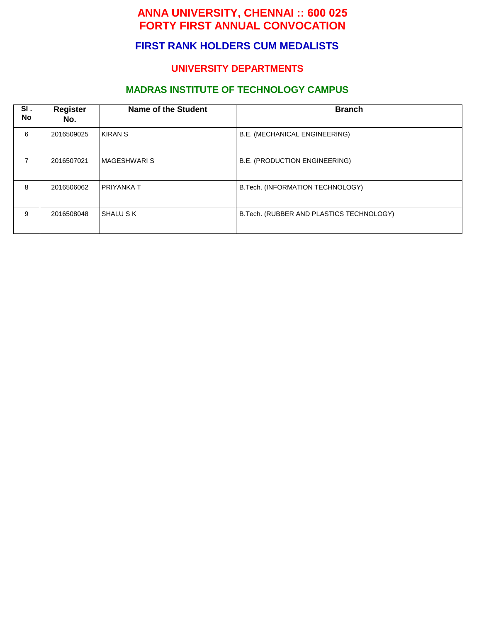## **FIRST RANK HOLDERS CUM MEDALISTS**

### **UNIVERSITY DEPARTMENTS**

## **MADRAS INSTITUTE OF TECHNOLOGY CAMPUS**

| SI.<br><b>No</b> | <b>Register</b><br>No. | Name of the Student | <b>Branch</b>                             |
|------------------|------------------------|---------------------|-------------------------------------------|
| 6                | 2016509025             | KIRAN S             | B.E. (MECHANICAL ENGINEERING)             |
| 7                | 2016507021             | ∣MAGESHWARI S       | B.E. (PRODUCTION ENGINEERING)             |
| 8                | 2016506062             | I PRIYANKA T        | B.Tech. (INFORMATION TECHNOLOGY)          |
| 9                | 2016508048             | SHALU S K           | B. Tech. (RUBBER AND PLASTICS TECHNOLOGY) |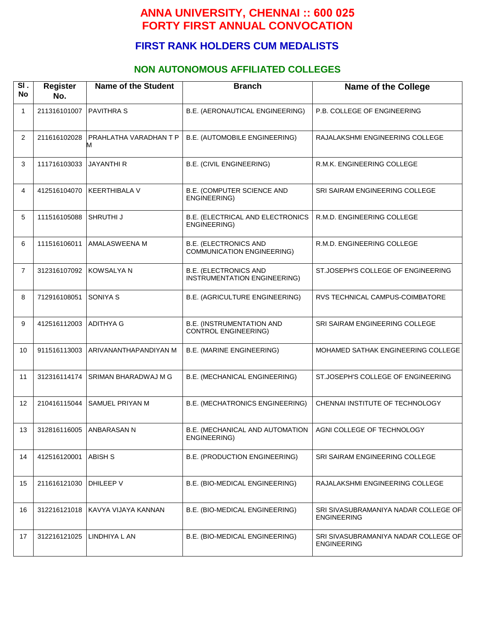## **FIRST RANK HOLDERS CUM MEDALISTS**

### **NON AUTONOMOUS AFFILIATED COLLEGES**

| SI.<br><b>No</b> | <b>Register</b><br>No. | <b>Name of the Student</b>  | <b>Branch</b>                                                   | <b>Name of the College</b>                                 |
|------------------|------------------------|-----------------------------|-----------------------------------------------------------------|------------------------------------------------------------|
| $\mathbf{1}$     | 211316101007           | <b>PAVITHRA S</b>           | B.E. (AERONAUTICAL ENGINEERING)                                 | P.B. COLLEGE OF ENGINEERING                                |
| $\overline{2}$   | 211616102028           | PRAHLATHA VARADHAN T P<br>м | B.E. (AUTOMOBILE ENGINEERING)                                   | RAJALAKSHMI ENGINEERING COLLEGE                            |
| 3                | 111716103033           | <b>JAYANTHI R</b>           | <b>B.E. (CIVIL ENGINEERING)</b>                                 | R.M.K. ENGINEERING COLLEGE                                 |
| 4                | 412516104070           | <b>KEERTHIBALA V</b>        | <b>B.E. (COMPUTER SCIENCE AND</b><br>ENGINEERING)               | SRI SAIRAM ENGINEERING COLLEGE                             |
| 5                | 111516105088           | SHRUTHI J                   | B.E. (ELECTRICAL AND ELECTRONICS<br>ENGINEERING)                | R.M.D. ENGINEERING COLLEGE                                 |
| 6                | 111516106011           | AMALASWEENA M               | <b>B.E. (ELECTRONICS AND</b><br>COMMUNICATION ENGINEERING)      | R.M.D. ENGINEERING COLLEGE                                 |
| $\overline{7}$   | 312316107092           | <b>KOWSALYA N</b>           | <b>B.E. (ELECTRONICS AND</b><br>INSTRUMENTATION ENGINEERING)    | ST.JOSEPH'S COLLEGE OF ENGINEERING                         |
| 8                | 712916108051           | <b>SONIYA S</b>             | B.E. (AGRICULTURE ENGINEERING)                                  | RVS TECHNICAL CAMPUS-COIMBATORE                            |
| 9                | 412516112003           | <b>ADITHYA G</b>            | <b>B.E. (INSTRUMENTATION AND</b><br><b>CONTROL ENGINEERING)</b> | SRI SAIRAM ENGINEERING COLLEGE                             |
| 10               | 911516113003           | ARIVANANTHAPANDIYAN M       | <b>B.E. (MARINE ENGINEERING)</b>                                | MOHAMED SATHAK ENGINEERING COLLEGE                         |
| 11               | 312316114174           | <b>SRIMAN BHARADWAJ M G</b> | B.E. (MECHANICAL ENGINEERING)                                   | ST.JOSEPH'S COLLEGE OF ENGINEERING                         |
| 12               | 210416115044           | SAMUEL PRIYAN M             | B.E. (MECHATRONICS ENGINEERING)                                 | CHENNAI INSTITUTE OF TECHNOLOGY                            |
| 13               | 312816116005           | ANBARASAN N                 | B.E. (MECHANICAL AND AUTOMATION<br>ENGINEERING)                 | AGNI COLLEGE OF TECHNOLOGY                                 |
| 14               | 412516120001           | <b>ABISH S</b>              | B.E. (PRODUCTION ENGINEERING)                                   | SRI SAIRAM ENGINEERING COLLEGE                             |
| 15               | 211616121030           | DHILEEP V                   | B.E. (BIO-MEDICAL ENGINEERING)                                  | RAJALAKSHMI ENGINEERING COLLEGE                            |
| 16               | 312216121018           | KAVYA VIJAYA KANNAN         | B.E. (BIO-MEDICAL ENGINEERING)                                  | SRI SIVASUBRAMANIYA NADAR COLLEGE OF<br><b>ENGINEERING</b> |
| 17               | 312216121025           | LINDHIYA L AN               | B.E. (BIO-MEDICAL ENGINEERING)                                  | SRI SIVASUBRAMANIYA NADAR COLLEGE OF<br><b>ENGINEERING</b> |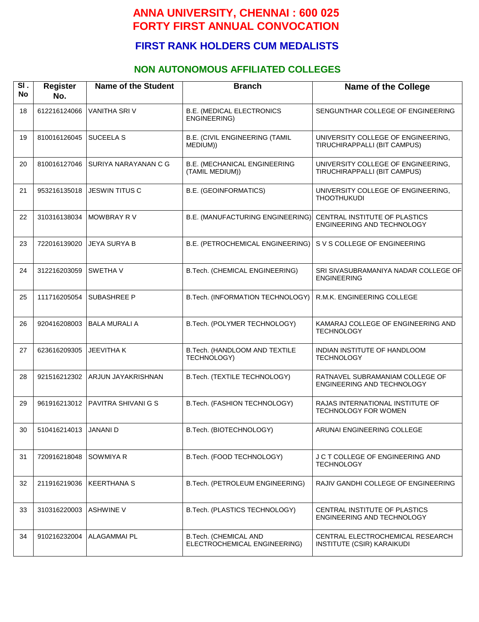## **FIRST RANK HOLDERS CUM MEDALISTS**

### **NON AUTONOMOUS AFFILIATED COLLEGES**

| SI.<br><b>No</b> | <b>Register</b><br>No. | <b>Name of the Student</b> | <b>Branch</b>                                           | <b>Name of the College</b>                                            |
|------------------|------------------------|----------------------------|---------------------------------------------------------|-----------------------------------------------------------------------|
| 18               | 612216124066           | <b>VANITHA SRIV</b>        | <b>B.E. (MEDICAL ELECTRONICS</b><br><b>ENGINEERING)</b> | SENGUNTHAR COLLEGE OF ENGINEERING                                     |
| 19               | 810016126045           | <b>SUCEELA S</b>           | <b>B.E. (CIVIL ENGINEERING (TAMIL</b><br>MEDIUM))       | UNIVERSITY COLLEGE OF ENGINEERING.<br>TIRUCHIRAPPALLI (BIT CAMPUS)    |
| 20               | 810016127046           | SURIYA NARAYANAN C G       | <b>B.E. (MECHANICAL ENGINEERING</b><br>(TAMIL MEDIUM))  | UNIVERSITY COLLEGE OF ENGINEERING,<br>TIRUCHIRAPPALLI (BIT CAMPUS)    |
| 21               | 953216135018           | <b>JESWIN TITUS C</b>      | <b>B.E. (GEOINFORMATICS)</b>                            | UNIVERSITY COLLEGE OF ENGINEERING,<br><b>THOOTHUKUDI</b>              |
| 22               | 310316138034           | MOWBRAY RV                 | B.E. (MANUFACTURING ENGINEERING)                        | CENTRAL INSTITUTE OF PLASTICS<br>ENGINEERING AND TECHNOLOGY           |
| 23               | 722016139020           | <b>JEYA SURYA B</b>        | B.E. (PETROCHEMICAL ENGINEERING)                        | S V S COLLEGE OF ENGINEERING                                          |
| 24               | 312216203059           | SWETHA V                   | B.Tech. (CHEMICAL ENGINEERING)                          | SRI SIVASUBRAMANIYA NADAR COLLEGE OF<br><b>ENGINEERING</b>            |
| 25               | 111716205054           | <b>SUBASHREE P</b>         | B.Tech. (INFORMATION TECHNOLOGY)                        | R.M.K. ENGINEERING COLLEGE                                            |
| 26               | 920416208003           | <b>BALA MURALI A</b>       | B.Tech. (POLYMER TECHNOLOGY)                            | KAMARAJ COLLEGE OF ENGINEERING AND<br><b>TECHNOLOGY</b>               |
| 27               | 623616209305           | <b>JEEVITHAK</b>           | B.Tech. (HANDLOOM AND TEXTILE<br>TECHNOLOGY)            | INDIAN INSTITUTE OF HANDLOOM<br><b>TECHNOLOGY</b>                     |
| 28               | 921516212302           | <b>ARJUN JAYAKRISHNAN</b>  | B.Tech. (TEXTILE TECHNOLOGY)                            | RATNAVEL SUBRAMANIAM COLLEGE OF<br>ENGINEERING AND TECHNOLOGY         |
| 29               | 961916213012           | <b>PAVITRA SHIVANI G S</b> | B.Tech. (FASHION TECHNOLOGY)                            | RAJAS INTERNATIONAL INSTITUTE OF<br>TECHNOLOGY FOR WOMEN              |
| 30               | 510416214013           | <b>JANANI D</b>            | B.Tech. (BIOTECHNOLOGY)                                 | ARUNAI ENGINEERING COLLEGE                                            |
| 31               | 720916218048           | SOWMIYA R                  | B.Tech. (FOOD TECHNOLOGY)                               | J C T COLLEGE OF ENGINEERING AND<br><b>TECHNOLOGY</b>                 |
| 32               | 211916219036           | <b>KEERTHANA S</b>         | B.Tech. (PETROLEUM ENGINEERING)                         | RAJIV GANDHI COLLEGE OF ENGINEERING                                   |
| 33               | 310316220003           | <b>ASHWINE V</b>           | B.Tech. (PLASTICS TECHNOLOGY)                           | CENTRAL INSTITUTE OF PLASTICS<br>ENGINEERING AND TECHNOLOGY           |
| 34               | 910216232004           | <b>ALAGAMMAI PL</b>        | B.Tech. (CHEMICAL AND<br>ELECTROCHEMICAL ENGINEERING)   | CENTRAL ELECTROCHEMICAL RESEARCH<br><b>INSTITUTE (CSIR) KARAIKUDI</b> |